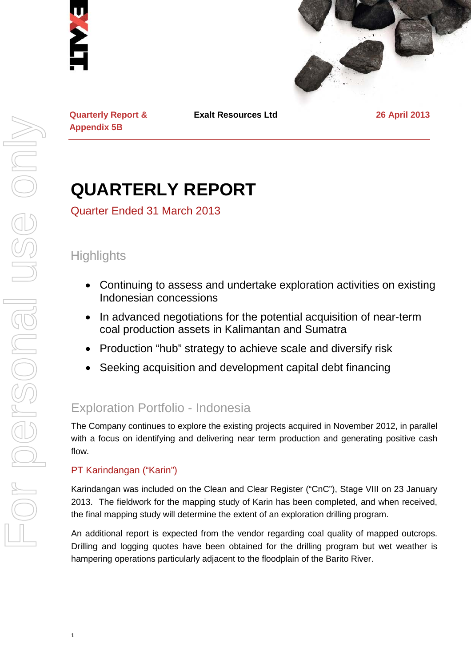



**Quarterly Report & Appendix 5B**

**Exalt Resources Ltd 26 April 2013**

# **QUARTERLY REPORT**

Quarter Ended 31 March 2013

### **Highlights**

- Continuing to assess and undertake exploration activities on existing Indonesian concessions
- In advanced negotiations for the potential acquisition of near-term coal production assets in Kalimantan and Sumatra
- Production "hub" strategy to achieve scale and diversify risk
- Seeking acquisition and development capital debt financing

## Exploration Portfolio - Indonesia

The Company continues to explore the existing projects acquired in November 2012, in parallel with a focus on identifying and delivering near term production and generating positive cash flow.

### PT Karindangan ("Karin")

1

Karindangan was included on the Clean and Clear Register ("CnC"), Stage VIII on 23 January 2013. The fieldwork for the mapping study of Karin has been completed, and when received, the final mapping study will determine the extent of an exploration drilling program.

An additional report is expected from the vendor regarding coal quality of mapped outcrops. Drilling and logging quotes have been obtained for the drilling program but wet weather is hampering operations particularly adjacent to the floodplain of the Barito River.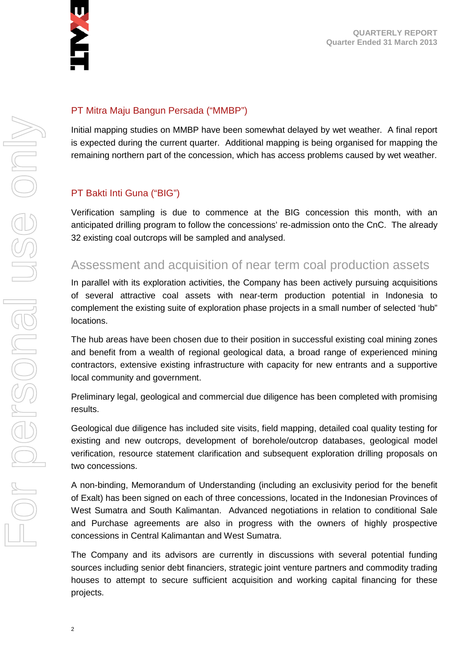

#### PT Mitra Maju Bangun Persada ("MMBP")

Initial mapping studies on MMBP have been somewhat delayed by wet weather. A final report is expected during the current quarter. Additional mapping is being organised for mapping the remaining northern part of the concession, which has access problems caused by wet weather.

#### PT Bakti Inti Guna ("BIG")

Verification sampling is due to commence at the BIG concession this month, with an anticipated drilling program to follow the concessions' re-admission onto the CnC. The already 32 existing coal outcrops will be sampled and analysed.

### Assessment and acquisition of near term coal production assets

In parallel with its exploration activities, the Company has been actively pursuing acquisitions of several attractive coal assets with near-term production potential in Indonesia to complement the existing suite of exploration phase projects in a small number of selected 'hub" locations.

The hub areas have been chosen due to their position in successful existing coal mining zones and benefit from a wealth of regional geological data, a broad range of experienced mining contractors, extensive existing infrastructure with capacity for new entrants and a supportive local community and government.

Preliminary legal, geological and commercial due diligence has been completed with promising results.

Geological due diligence has included site visits, field mapping, detailed coal quality testing for existing and new outcrops, development of borehole/outcrop databases, geological model verification, resource statement clarification and subsequent exploration drilling proposals on two concessions.

A non-binding, Memorandum of Understanding (including an exclusivity period for the benefit of Exalt) has been signed on each of three concessions, located in the Indonesian Provinces of West Sumatra and South Kalimantan. Advanced negotiations in relation to conditional Sale and Purchase agreements are also in progress with the owners of highly prospective concessions in Central Kalimantan and West Sumatra.

The Company and its advisors are currently in discussions with several potential funding sources including senior debt financiers, strategic joint venture partners and commodity trading houses to attempt to secure sufficient acquisition and working capital financing for these projects.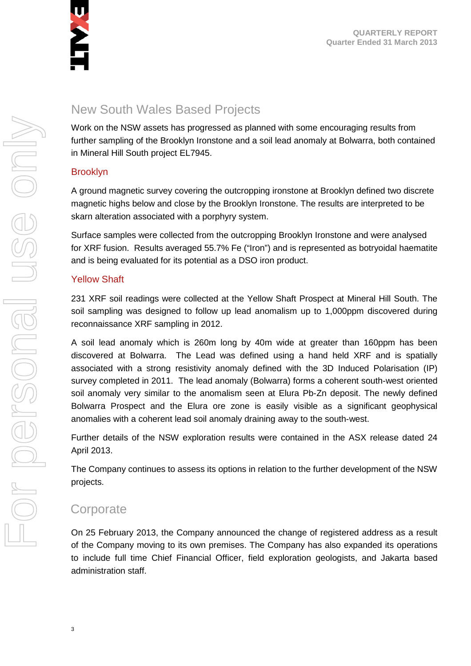

### New South Wales Based Projects

Work on the NSW assets has progressed as planned with some encouraging results from further sampling of the Brooklyn Ironstone and a soil lead anomaly at Bolwarra, both contained in Mineral Hill South project EL7945.

#### Brooklyn

A ground magnetic survey covering the outcropping ironstone at Brooklyn defined two discrete magnetic highs below and close by the Brooklyn Ironstone. The results are interpreted to be skarn alteration associated with a porphyry system.

Surface samples were collected from the outcropping Brooklyn Ironstone and were analysed for XRF fusion. Results averaged 55.7% Fe ("Iron") and is represented as botryoidal haematite and is being evaluated for its potential as a DSO iron product.

#### Yellow Shaft

231 XRF soil readings were collected at the Yellow Shaft Prospect at Mineral Hill South. The soil sampling was designed to follow up lead anomalism up to 1,000ppm discovered during reconnaissance XRF sampling in 2012.

A soil lead anomaly which is 260m long by 40m wide at greater than 160ppm has been discovered at Bolwarra. The Lead was defined using a hand held XRF and is spatially associated with a strong resistivity anomaly defined with the 3D Induced Polarisation (IP) survey completed in 2011. The lead anomaly (Bolwarra) forms a coherent south-west oriented soil anomaly very similar to the anomalism seen at Elura Pb-Zn deposit. The newly defined Bolwarra Prospect and the Elura ore zone is easily visible as a significant geophysical anomalies with a coherent lead soil anomaly draining away to the south-west.

Further details of the NSW exploration results were contained in the ASX release dated 24 April 2013.

The Company continues to assess its options in relation to the further development of the NSW projects.

### **Corporate**

On 25 February 2013, the Company announced the change of registered address as a result of the Company moving to its own premises. The Company has also expanded its operations to include full time Chief Financial Officer, field exploration geologists, and Jakarta based administration staff.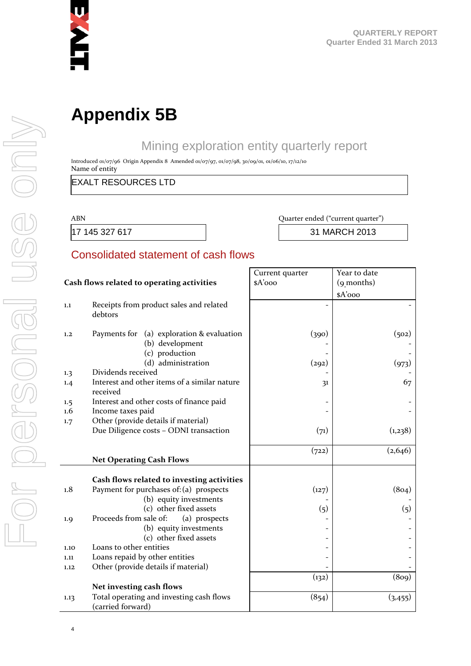

## **Appendix 5B**

### Mining exploration entity quarterly report

Introduced 01/07/96 Origin Appendix 8 Amended 01/07/97, 01/07/98, 30/09/01, 01/06/10, 17/12/10 Name of entity

EXALT RESOURCES LTD

#### ABN Quarter ended ("current quarter")

17 145 327 617 31 MARCH 2013

### Consolidated statement of cash flows

|                                            |                                                                                | Current quarter | Year to date |
|--------------------------------------------|--------------------------------------------------------------------------------|-----------------|--------------|
| Cash flows related to operating activities |                                                                                | $A'$ 000        | (9 months)   |
|                                            |                                                                                |                 | \$A'ooo      |
| 1.1                                        | Receipts from product sales and related<br>debtors                             |                 |              |
| 1,2                                        | Payments for (a) exploration & evaluation<br>(b) development<br>(c) production | (390)           | (502)        |
|                                            | (d) administration                                                             | (292)           | (973)        |
| 1.3                                        | Dividends received                                                             |                 |              |
| 1.4                                        | Interest and other items of a similar nature<br>received                       | 31              | 67           |
| 1.5                                        | Interest and other costs of finance paid                                       |                 |              |
| $1.6\,$                                    | Income taxes paid                                                              |                 |              |
| 1.7                                        | Other (provide details if material)                                            |                 |              |
|                                            | Due Diligence costs - ODNI transaction                                         | (71)            | (1,238)      |
|                                            |                                                                                |                 |              |
|                                            |                                                                                | (722)           | (2,646)      |
|                                            | <b>Net Operating Cash Flows</b>                                                |                 |              |
|                                            |                                                                                |                 |              |
|                                            | Cash flows related to investing activities                                     |                 |              |
| 1.8                                        | Payment for purchases of: (a) prospects                                        | (127)           | (804)        |
|                                            | (b) equity investments                                                         |                 |              |
|                                            | (c) other fixed assets                                                         | (5)             | (5)          |
| 1.9                                        | Proceeds from sale of:<br>(a) prospects                                        |                 |              |
|                                            | (b) equity investments                                                         |                 |              |
|                                            | (c) other fixed assets                                                         |                 |              |
| 1.10                                       | Loans to other entities                                                        |                 |              |
| 1.11                                       | Loans repaid by other entities                                                 |                 |              |
| 1.12                                       | Other (provide details if material)                                            |                 |              |
|                                            |                                                                                | (132)           | (809)        |
|                                            | Net investing cash flows                                                       |                 |              |
| 1.13                                       | Total operating and investing cash flows<br>(carried forward)                  | (854)           | (3, 455)     |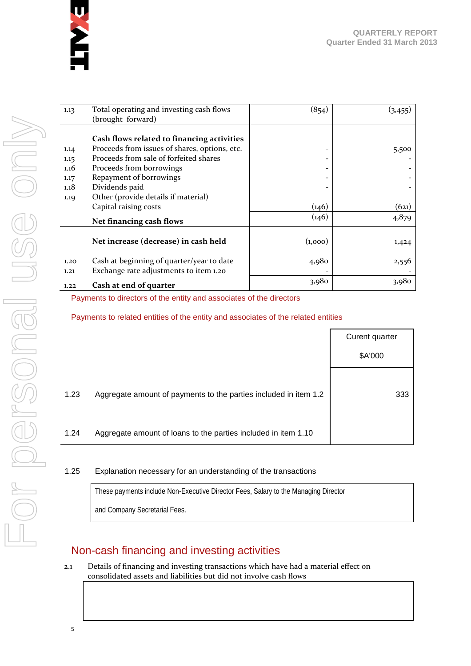

| 1.13 | Total operating and investing cash flows      | (854)   | (3, 455) |
|------|-----------------------------------------------|---------|----------|
|      | (brought forward)                             |         |          |
|      |                                               |         |          |
|      | Cash flows related to financing activities    |         |          |
| 1.14 | Proceeds from issues of shares, options, etc. | -       | 5,500    |
| 1.15 | Proceeds from sale of forfeited shares        |         |          |
| 1.16 | Proceeds from borrowings                      | -       |          |
| 1.17 | Repayment of borrowings                       |         |          |
| 1.18 | Dividends paid                                |         |          |
| 1.19 | Other (provide details if material)           |         |          |
|      | Capital raising costs                         | (146)   | (621)    |
|      | Net financing cash flows                      | (146)   | 4,879    |
|      | Net increase (decrease) in cash held          | (1,000) | 1,424    |
| 1,20 | Cash at beginning of quarter/year to date     | 4,980   | 2,556    |
| 1.21 | Exchange rate adjustments to item 1.20        |         |          |
| 1.22 | Cash at end of quarter                        | 3,980   | 3,980    |

#### Payments to directors of the entity and associates of the directors

Payments to related entities of the entity and associates of the related entities

|      |                                                                  | Curent quarter |
|------|------------------------------------------------------------------|----------------|
|      |                                                                  | \$A'000        |
|      |                                                                  |                |
| 1.23 | Aggregate amount of payments to the parties included in item 1.2 | 333            |
|      |                                                                  |                |
| 1.24 | Aggregate amount of loans to the parties included in item 1.10   |                |

#### 1.25 Explanation necessary for an understanding of the transactions

These payments include Non-Executive Director Fees, Salary to the Managing Director and Company Secretarial Fees.

### Non-cash financing and investing activities

2.1 Details of financing and investing transactions which have had a material effect on consolidated assets and liabilities but did not involve cash flows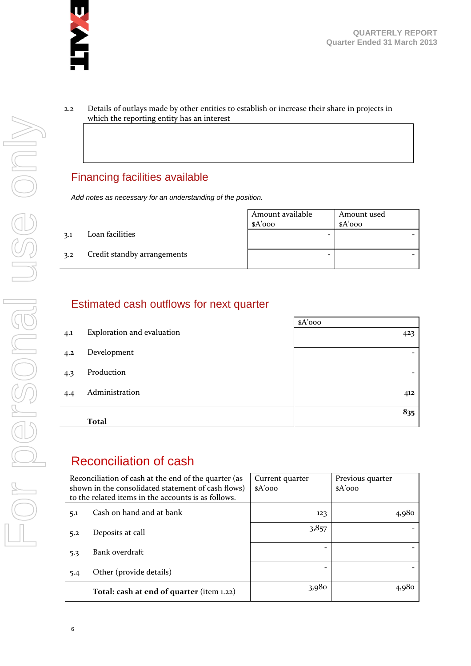

2.2 Details of outlays made by other entities to establish or increase their share in projects in which the reporting entity has an interest

### Financing facilities available

*Add notes as necessary for an understanding of the position.*

|     |                             | Amount available<br>$A'$ 000 | Amount used<br>sA'ooo |
|-----|-----------------------------|------------------------------|-----------------------|
| 3.1 | Loan facilities             | -                            |                       |
| 3.2 | Credit standby arrangements | -                            |                       |

### Estimated cash outflows for next quarter

|     |                            | $A'$ 000 |
|-----|----------------------------|----------|
| 4.1 | Exploration and evaluation | 423      |
| 4.2 | Development                |          |
| 4.3 | Production                 | -        |
| 4.4 | Administration             | 412      |
|     | <b>Total</b>               | 835      |

### Reconciliation of cash

| Reconciliation of cash at the end of the quarter (as<br>shown in the consolidated statement of cash flows)<br>to the related items in the accounts is as follows. | Current quarter<br>$A'$ 000 | Previous quarter<br>$A'$ 000 |
|-------------------------------------------------------------------------------------------------------------------------------------------------------------------|-----------------------------|------------------------------|
| Cash on hand and at bank<br>5.1                                                                                                                                   | 123                         | 4,980                        |
| Deposits at call<br>5.2                                                                                                                                           | 3,857                       |                              |
| Bank overdraft<br>5.3                                                                                                                                             |                             |                              |
| Other (provide details)<br>5.4                                                                                                                                    |                             |                              |
| Total: cash at end of quarter (item 1.22)                                                                                                                         | 3,980                       | 4,980                        |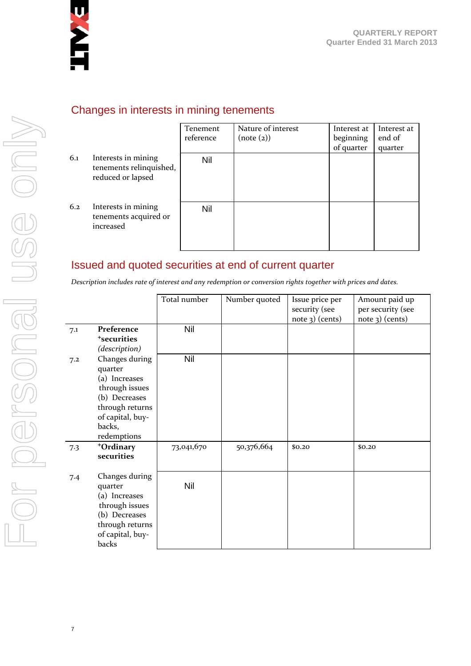

|     |                                                                     | Tenement<br>reference | Nature of interest<br>(note (2)) | Interest at<br>beginning<br>of quarter | Interest at<br>end of<br>quarter |
|-----|---------------------------------------------------------------------|-----------------------|----------------------------------|----------------------------------------|----------------------------------|
| 6.1 | Interests in mining<br>tenements relinquished,<br>reduced or lapsed | <b>Nil</b>            |                                  |                                        |                                  |
| 6.2 | Interests in mining<br>tenements acquired or<br>increased           | Nil                   |                                  |                                        |                                  |

### Changes in interests in mining tenements

### Issued and quoted securities at end of current quarter

*Description includes rate of interest and any redemption or conversion rights together with prices and dates.*

|     |                                                                                                                                               | Total number | Number quoted | Issue price per   | Amount paid up    |
|-----|-----------------------------------------------------------------------------------------------------------------------------------------------|--------------|---------------|-------------------|-------------------|
|     |                                                                                                                                               |              |               | security (see     | per security (see |
|     |                                                                                                                                               |              |               | $note$ 3) (cents) | $note$ 3) (cents) |
| 7.1 | Preference<br><sup>+</sup> securities                                                                                                         | Nil          |               |                   |                   |
|     | (description)                                                                                                                                 |              |               |                   |                   |
| 7.2 | Changes during<br>quarter<br>(a) Increases<br>through issues<br>(b) Decreases<br>through returns<br>of capital, buy-<br>backs,<br>redemptions | Nil          |               |                   |                   |
| 7.3 | +Ordinary<br>securities                                                                                                                       | 73,041,670   | 50,376,664    | \$0,20            | \$0.20            |
| 7.4 | Changes during<br>quarter<br>(a) Increases<br>through issues<br>(b) Decreases<br>through returns<br>of capital, buy-<br>backs                 | Nil          |               |                   |                   |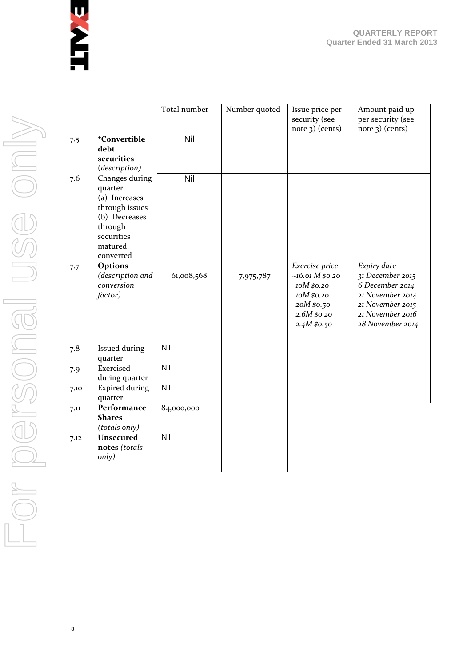

|      |                                                                                                                                 | Total number | Number quoted | Issue price per<br>security (see<br>note 3) (cents)                                                         | Amount paid up<br>per security (see<br>$note$ 3) (cents)                                                                           |
|------|---------------------------------------------------------------------------------------------------------------------------------|--------------|---------------|-------------------------------------------------------------------------------------------------------------|------------------------------------------------------------------------------------------------------------------------------------|
| 7.5  | <sup>+</sup> Convertible<br>debt<br>securities<br>(description)                                                                 | Nil          |               |                                                                                                             |                                                                                                                                    |
| 7.6  | Changes during<br>quarter<br>(a) Increases<br>through issues<br>(b) Decreases<br>through<br>securities<br>matured,<br>converted | Nil          |               |                                                                                                             |                                                                                                                                    |
| 7.7  | Options<br>(description and<br>conversion<br>factor)                                                                            | 61,008,568   | 7,975,787     | Exercise price<br>$~16.01 M$ \$0.20<br>10M \$0.20<br>10M \$0.20<br>20M \$0.50<br>2.6M \$0.20<br>2.4M\$80.50 | Expiry date<br>31 December 2015<br>6 December 2014<br>21 November 2014<br>21 November 2015<br>21 November 2016<br>28 November 2014 |
| 7.8  | Issued during<br>quarter                                                                                                        | Nil          |               |                                                                                                             |                                                                                                                                    |
| 7.9  | Exercised<br>during quarter                                                                                                     | Nil          |               |                                                                                                             |                                                                                                                                    |
| 7.10 | <b>Expired during</b><br>quarter                                                                                                | Nil          |               |                                                                                                             |                                                                                                                                    |
| 7.11 | Performance<br><b>Shares</b><br>(totals only)                                                                                   | 84,000,000   |               |                                                                                                             |                                                                                                                                    |
| 7.12 | <b>Unsecured</b><br>notes (totals<br>only)                                                                                      | Nil          |               |                                                                                                             |                                                                                                                                    |